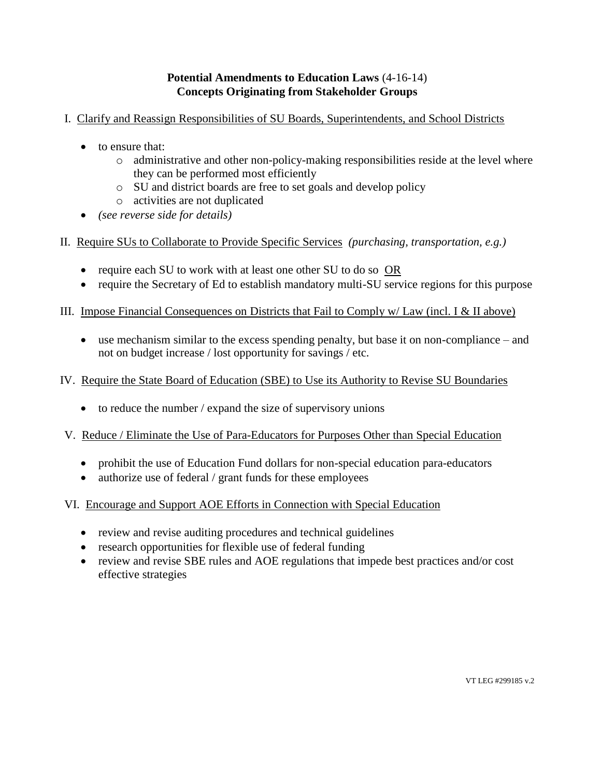## **Potential Amendments to Education Laws** (4-16-14) **Concepts Originating from Stakeholder Groups**

# I. Clarify and Reassign Responsibilities of SU Boards, Superintendents, and School Districts

- to ensure that:
	- $\circ$  administrative and other non-policy-making responsibilities reside at the level where they can be performed most efficiently
	- o SU and district boards are free to set goals and develop policy
	- o activities are not duplicated
- *(see reverse side for details)*
- II. Require SUs to Collaborate to Provide Specific Services *(purchasing, transportation, e.g.)*
	- require each SU to work with at least one other SU to do so OR
	- require the Secretary of Ed to establish mandatory multi-SU service regions for this purpose

### III. Impose Financial Consequences on Districts that Fail to Comply w/ Law (incl. I & II above)

 use mechanism similar to the excess spending penalty, but base it on non-compliance – and not on budget increase / lost opportunity for savings / etc.

### IV. Require the State Board of Education (SBE) to Use its Authority to Revise SU Boundaries

 $\bullet$  to reduce the number / expand the size of supervisory unions

### V. Reduce / Eliminate the Use of Para-Educators for Purposes Other than Special Education

- prohibit the use of Education Fund dollars for non-special education para-educators
- authorize use of federal / grant funds for these employees
- VI. Encourage and Support AOE Efforts in Connection with Special Education
	- review and revise auditing procedures and technical guidelines
	- research opportunities for flexible use of federal funding
	- review and revise SBE rules and AOE regulations that impede best practices and/or cost effective strategies